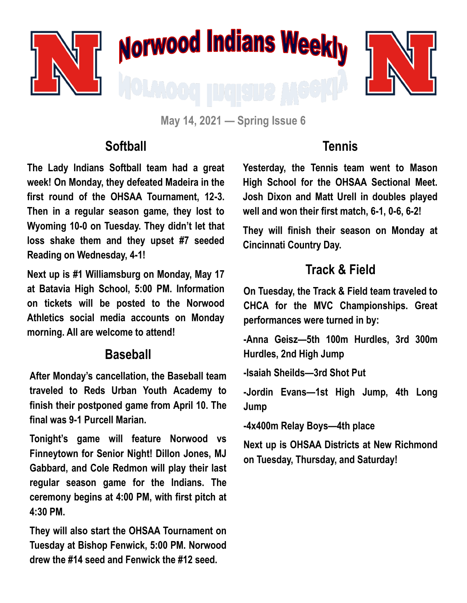

**May 14, 2021 — Spring Issue 6**

#### **Softball**

**The Lady Indians Softball team had a great week! On Monday, they defeated Madeira in the first round of the OHSAA Tournament, 12-3. Then in a regular season game, they lost to Wyoming 10-0 on Tuesday. They didn't let that loss shake them and they upset #7 seeded Reading on Wednesday, 4-1!**

**Next up is #1 Williamsburg on Monday, May 17 at Batavia High School, 5:00 PM. Information on tickets will be posted to the Norwood Athletics social media accounts on Monday morning. All are welcome to attend!**

#### **Baseball**

**After Monday's cancellation, the Baseball team traveled to Reds Urban Youth Academy to finish their postponed game from April 10. The final was 9-1 Purcell Marian.** 

**Tonight's game will feature Norwood vs Finneytown for Senior Night! Dillon Jones, MJ Gabbard, and Cole Redmon will play their last regular season game for the Indians. The ceremony begins at 4:00 PM, with first pitch at 4:30 PM.**

**They will also start the OHSAA Tournament on Tuesday at Bishop Fenwick, 5:00 PM. Norwood drew the #14 seed and Fenwick the #12 seed.**

### **Tennis**

**Yesterday, the Tennis team went to Mason High School for the OHSAA Sectional Meet. Josh Dixon and Matt Urell in doubles played well and won their first match, 6-1, 0-6, 6-2!**

**They will finish their season on Monday at Cincinnati Country Day.**

## **Track & Field**

**On Tuesday, the Track & Field team traveled to CHCA for the MVC Championships. Great performances were turned in by:**

**-Anna Geisz—5th 100m Hurdles, 3rd 300m Hurdles, 2nd High Jump**

**-Isaiah Sheilds—3rd Shot Put**

**-Jordin Evans—1st High Jump, 4th Long Jump**

**-4x400m Relay Boys—4th place**

**Next up is OHSAA Districts at New Richmond on Tuesday, Thursday, and Saturday!**